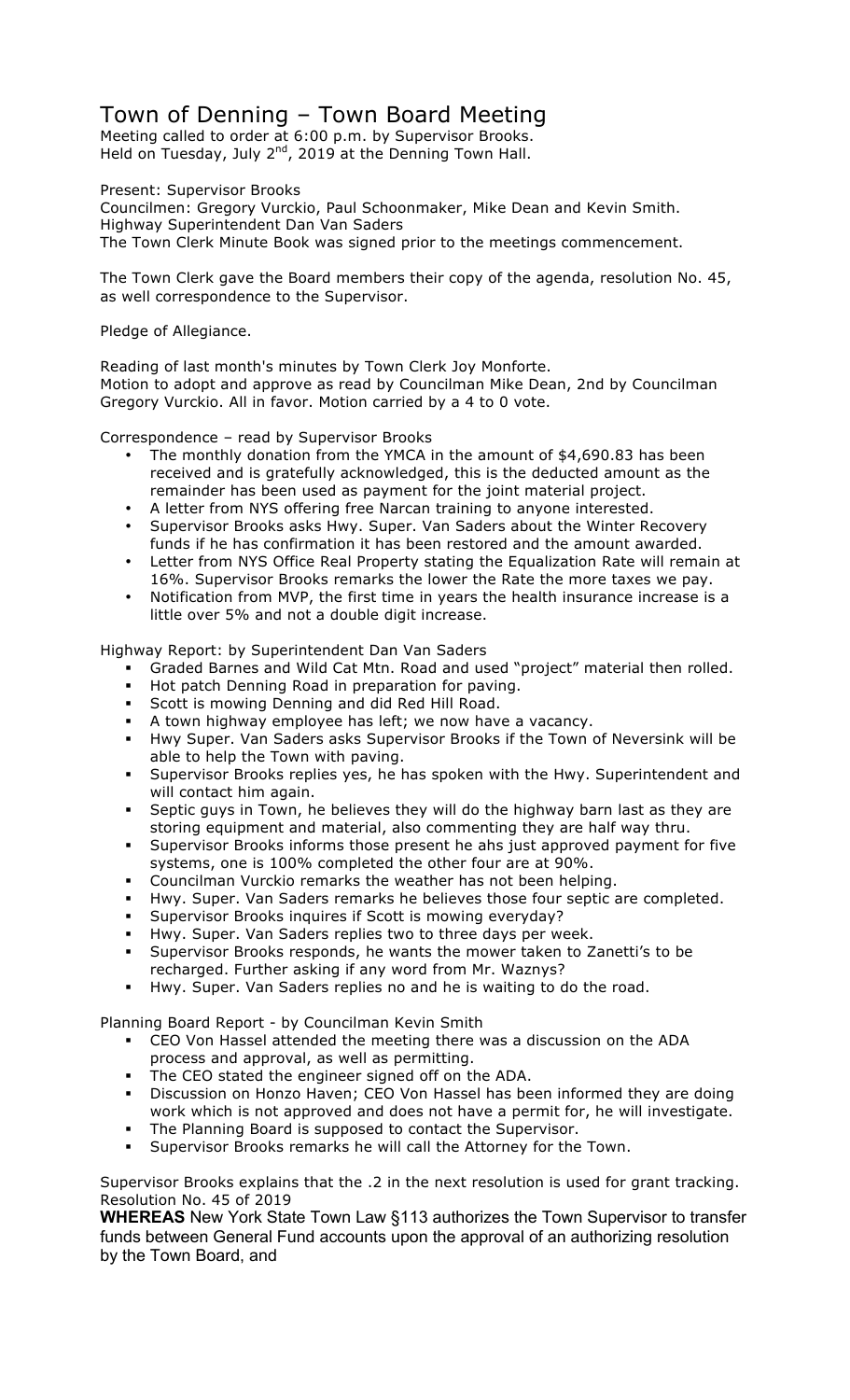## Town of Denning – Town Board Meeting

Meeting called to order at 6:00 p.m. by Supervisor Brooks. Held on Tuesday, July  $2^{nd}$ , 2019 at the Denning Town Hall.

Present: Supervisor Brooks

Councilmen: Gregory Vurckio, Paul Schoonmaker, Mike Dean and Kevin Smith. Highway Superintendent Dan Van Saders The Town Clerk Minute Book was signed prior to the meetings commencement.

The Town Clerk gave the Board members their copy of the agenda, resolution No. 45, as well correspondence to the Supervisor.

Pledge of Allegiance.

Reading of last month's minutes by Town Clerk Joy Monforte. Motion to adopt and approve as read by Councilman Mike Dean, 2nd by Councilman Gregory Vurckio. All in favor. Motion carried by a 4 to 0 vote.

Correspondence – read by Supervisor Brooks

- The monthly donation from the YMCA in the amount of \$4,690.83 has been received and is gratefully acknowledged, this is the deducted amount as the remainder has been used as payment for the joint material project.
- A letter from NYS offering free Narcan training to anyone interested.
- Supervisor Brooks asks Hwy. Super. Van Saders about the Winter Recovery funds if he has confirmation it has been restored and the amount awarded.
- Letter from NYS Office Real Property stating the Equalization Rate will remain at 16%. Supervisor Brooks remarks the lower the Rate the more taxes we pay.
- Notification from MVP, the first time in years the health insurance increase is a little over 5% and not a double digit increase.

Highway Report: by Superintendent Dan Van Saders

- ! Graded Barnes and Wild Cat Mtn. Road and used "project" material then rolled.
- Hot patch Denning Road in preparation for paving.
- ! Scott is mowing Denning and did Red Hill Road.
- ! A town highway employee has left; we now have a vacancy.
- ! Hwy Super. Van Saders asks Supervisor Brooks if the Town of Neversink will be able to help the Town with paving.
- Supervisor Brooks replies yes, he has spoken with the Hwy. Superintendent and will contact him again.
- Septic guys in Town, he believes they will do the highway barn last as they are storing equipment and material, also commenting they are half way thru.
- ! Supervisor Brooks informs those present he ahs just approved payment for five systems, one is 100% completed the other four are at 90%.
- ! Councilman Vurckio remarks the weather has not been helping.
- ! Hwy. Super. Van Saders remarks he believes those four septic are completed.
- ! Supervisor Brooks inquires if Scott is mowing everyday?
- Hwy. Super. Van Saders replies two to three days per week.
- Supervisor Brooks responds, he wants the mower taken to Zanetti's to be recharged. Further asking if any word from Mr. Waznys?
- Hwy. Super. Van Saders replies no and he is waiting to do the road.

Planning Board Report - by Councilman Kevin Smith

- ! CEO Von Hassel attended the meeting there was a discussion on the ADA process and approval, as well as permitting.
- ! The CEO stated the engineer signed off on the ADA.
- ! Discussion on Honzo Haven; CEO Von Hassel has been informed they are doing work which is not approved and does not have a permit for, he will investigate.
- The Planning Board is supposed to contact the Supervisor.
- ! Supervisor Brooks remarks he will call the Attorney for the Town.

Supervisor Brooks explains that the .2 in the next resolution is used for grant tracking. Resolution No. 45 of 2019

**WHEREAS** New York State Town Law §113 authorizes the Town Supervisor to transfer funds between General Fund accounts upon the approval of an authorizing resolution by the Town Board, and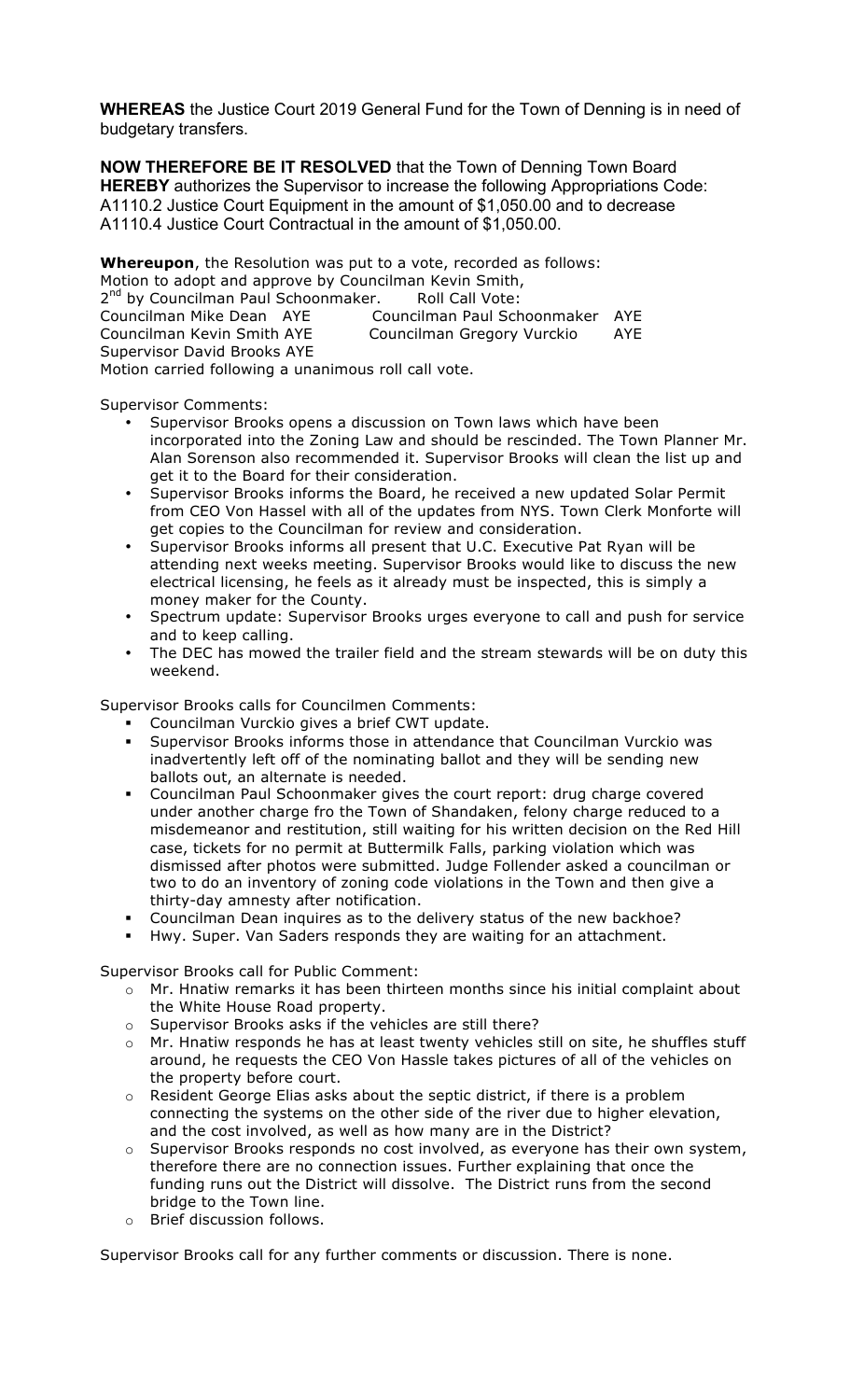**WHEREAS** the Justice Court 2019 General Fund for the Town of Denning is in need of budgetary transfers.

**NOW THEREFORE BE IT RESOLVED** that the Town of Denning Town Board **HEREBY** authorizes the Supervisor to increase the following Appropriations Code: A1110.2 Justice Court Equipment in the amount of \$1,050.00 and to decrease A1110.4 Justice Court Contractual in the amount of \$1,050.00.

**Whereupon**, the Resolution was put to a vote, recorded as follows: Motion to adopt and approve by Councilman Kevin Smith, 2<sup>nd</sup> by Councilman Paul Schoonmaker. Roll Call Vote: Councilman Mike Dean AYE Councilman Paul Schoonmaker AYE Councilman Kevin Smith AYE Councilman Gregory Vurckio AYE Supervisor David Brooks AYE Motion carried following a unanimous roll call vote.

Supervisor Comments:

- Supervisor Brooks opens a discussion on Town laws which have been incorporated into the Zoning Law and should be rescinded. The Town Planner Mr. Alan Sorenson also recommended it. Supervisor Brooks will clean the list up and get it to the Board for their consideration.
- Supervisor Brooks informs the Board, he received a new updated Solar Permit from CEO Von Hassel with all of the updates from NYS. Town Clerk Monforte will get copies to the Councilman for review and consideration.
- Supervisor Brooks informs all present that U.C. Executive Pat Ryan will be attending next weeks meeting. Supervisor Brooks would like to discuss the new electrical licensing, he feels as it already must be inspected, this is simply a money maker for the County.
- Spectrum update: Supervisor Brooks urges everyone to call and push for service and to keep calling.
- The DEC has mowed the trailer field and the stream stewards will be on duty this weekend.

Supervisor Brooks calls for Councilmen Comments:

- ! Councilman Vurckio gives a brief CWT update.
- Supervisor Brooks informs those in attendance that Councilman Vurckio was inadvertently left off of the nominating ballot and they will be sending new ballots out, an alternate is needed.
- ! Councilman Paul Schoonmaker gives the court report: drug charge covered under another charge fro the Town of Shandaken, felony charge reduced to a misdemeanor and restitution, still waiting for his written decision on the Red Hill case, tickets for no permit at Buttermilk Falls, parking violation which was dismissed after photos were submitted. Judge Follender asked a councilman or two to do an inventory of zoning code violations in the Town and then give a thirty-day amnesty after notification.
- ! Councilman Dean inquires as to the delivery status of the new backhoe?
- ! Hwy. Super. Van Saders responds they are waiting for an attachment.

Supervisor Brooks call for Public Comment:

- $\circ$  Mr. Hnatiw remarks it has been thirteen months since his initial complaint about the White House Road property.
- o Supervisor Brooks asks if the vehicles are still there?
- o Mr. Hnatiw responds he has at least twenty vehicles still on site, he shuffles stuff around, he requests the CEO Von Hassle takes pictures of all of the vehicles on the property before court.
- $\circ$  Resident George Elias asks about the septic district, if there is a problem connecting the systems on the other side of the river due to higher elevation, and the cost involved, as well as how many are in the District?
- $\circ$  Supervisor Brooks responds no cost involved, as everyone has their own system, therefore there are no connection issues. Further explaining that once the funding runs out the District will dissolve. The District runs from the second bridge to the Town line.
- o Brief discussion follows.

Supervisor Brooks call for any further comments or discussion. There is none.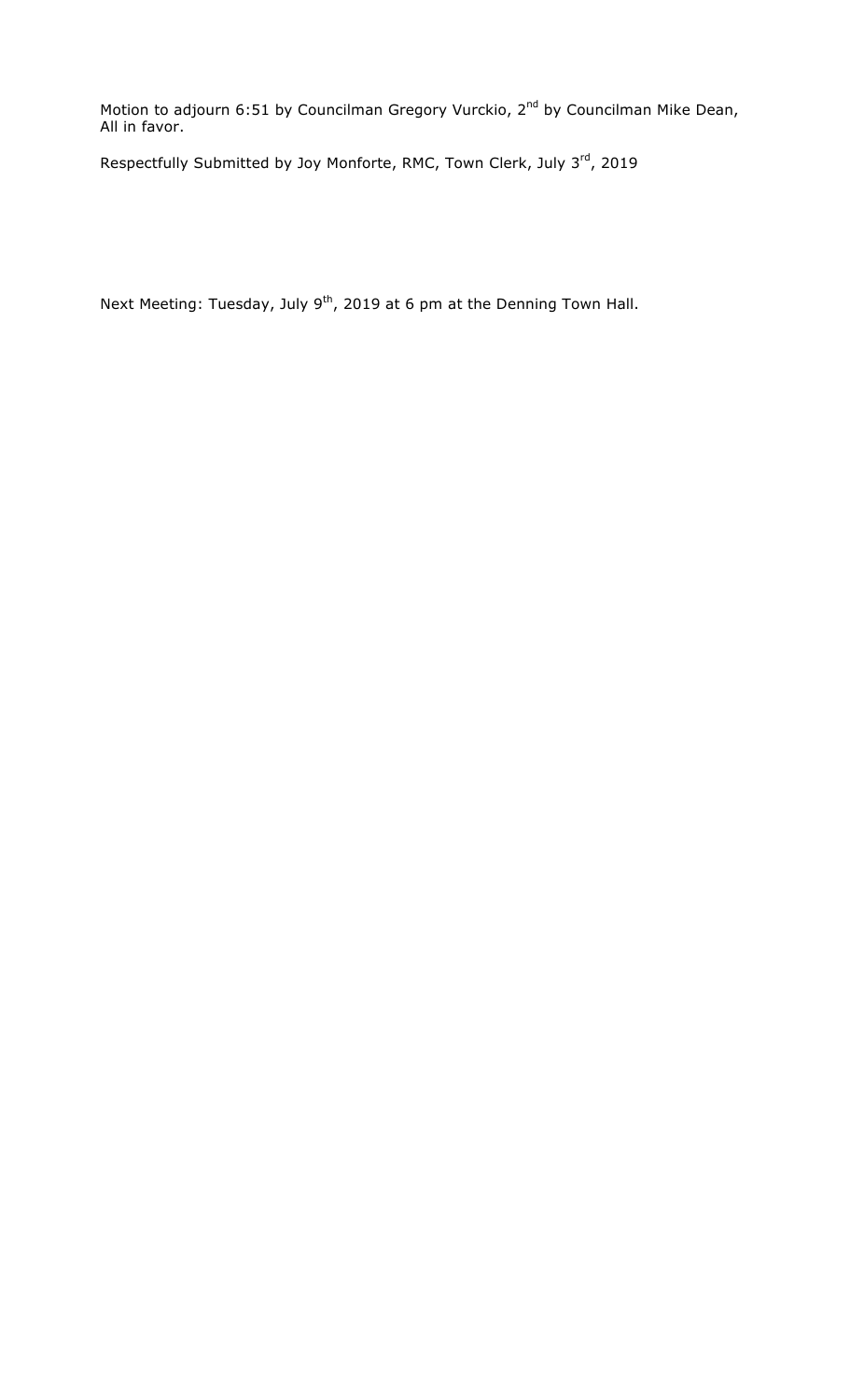Motion to adjourn 6:51 by Councilman Gregory Vurckio, 2<sup>nd</sup> by Councilman Mike Dean, All in favor.

Respectfully Submitted by Joy Monforte, RMC, Town Clerk, July 3rd, 2019

Next Meeting: Tuesday, July  $9^{th}$ , 2019 at 6 pm at the Denning Town Hall.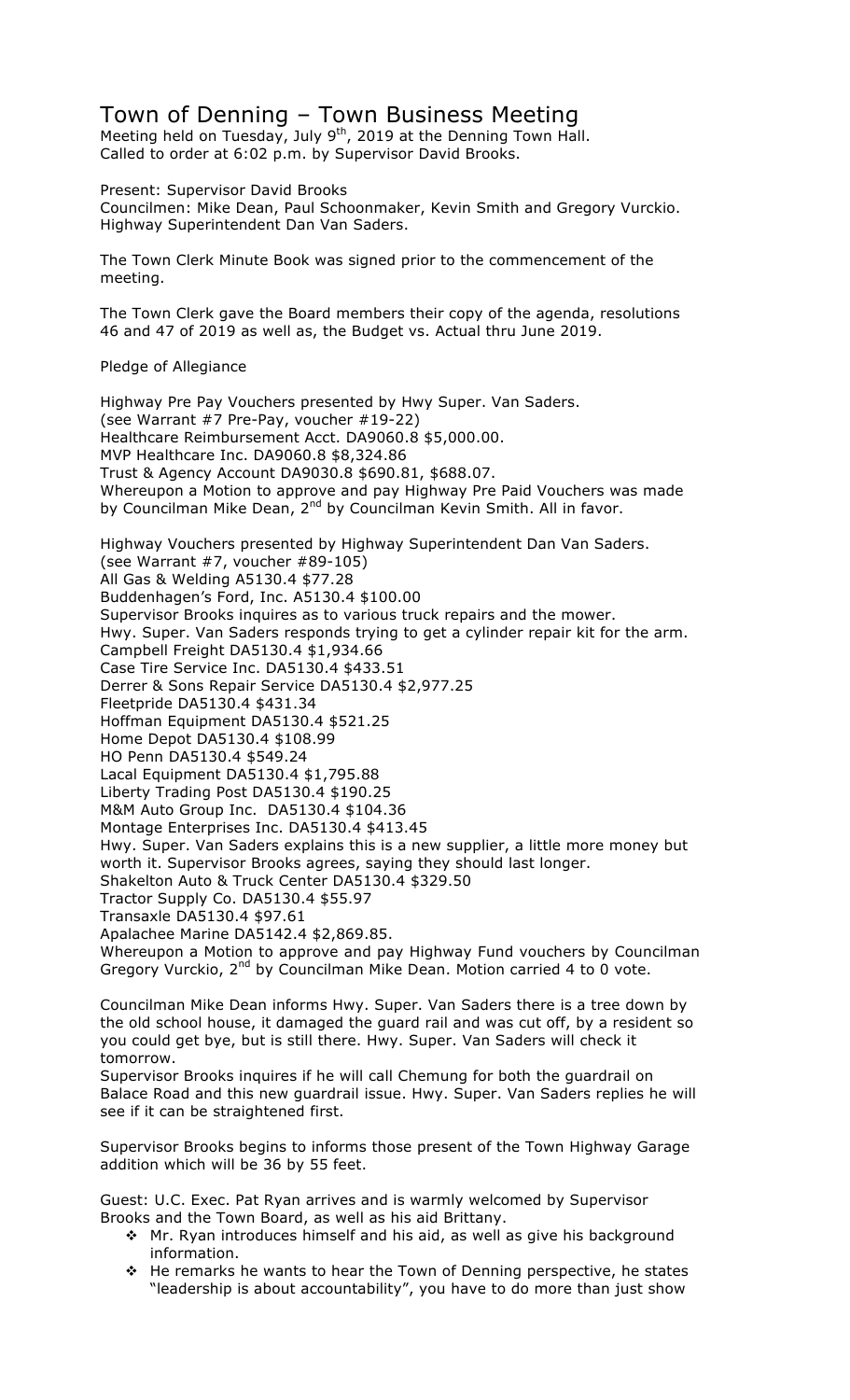## Town of Denning – Town Business Meeting

Meeting held on Tuesday, July 9<sup>th</sup>, 2019 at the Denning Town Hall. Called to order at 6:02 p.m. by Supervisor David Brooks.

Present: Supervisor David Brooks Councilmen: Mike Dean, Paul Schoonmaker, Kevin Smith and Gregory Vurckio. Highway Superintendent Dan Van Saders.

The Town Clerk Minute Book was signed prior to the commencement of the meeting.

The Town Clerk gave the Board members their copy of the agenda, resolutions 46 and 47 of 2019 as well as, the Budget vs. Actual thru June 2019.

Pledge of Allegiance

Highway Pre Pay Vouchers presented by Hwy Super. Van Saders. (see Warrant #7 Pre-Pay, voucher #19-22) Healthcare Reimbursement Acct. DA9060.8 \$5,000.00. MVP Healthcare Inc. DA9060.8 \$8,324.86 Trust & Agency Account DA9030.8 \$690.81, \$688.07. Whereupon a Motion to approve and pay Highway Pre Paid Vouchers was made by Councilman Mike Dean, 2<sup>nd</sup> by Councilman Kevin Smith. All in favor.

Highway Vouchers presented by Highway Superintendent Dan Van Saders. (see Warrant #7, voucher #89-105) All Gas & Welding A5130.4 \$77.28 Buddenhagen's Ford, Inc. A5130.4 \$100.00 Supervisor Brooks inquires as to various truck repairs and the mower. Hwy. Super. Van Saders responds trying to get a cylinder repair kit for the arm. Campbell Freight DA5130.4 \$1,934.66 Case Tire Service Inc. DA5130.4 \$433.51 Derrer & Sons Repair Service DA5130.4 \$2,977.25 Fleetpride DA5130.4 \$431.34 Hoffman Equipment DA5130.4 \$521.25 Home Depot DA5130.4 \$108.99 HO Penn DA5130.4 \$549.24 Lacal Equipment DA5130.4 \$1,795.88 Liberty Trading Post DA5130.4 \$190.25 M&M Auto Group Inc. DA5130.4 \$104.36 Montage Enterprises Inc. DA5130.4 \$413.45 Hwy. Super. Van Saders explains this is a new supplier, a little more money but worth it. Supervisor Brooks agrees, saying they should last longer. Shakelton Auto & Truck Center DA5130.4 \$329.50 Tractor Supply Co. DA5130.4 \$55.97 Transaxle DA5130.4 \$97.61 Apalachee Marine DA5142.4 \$2,869.85. Whereupon a Motion to approve and pay Highway Fund vouchers by Councilman Gregory Vurckio, 2<sup>nd</sup> by Councilman Mike Dean. Motion carried 4 to 0 vote.

Councilman Mike Dean informs Hwy. Super. Van Saders there is a tree down by the old school house, it damaged the guard rail and was cut off, by a resident so you could get bye, but is still there. Hwy. Super. Van Saders will check it tomorrow.

Supervisor Brooks inquires if he will call Chemung for both the guardrail on Balace Road and this new guardrail issue. Hwy. Super. Van Saders replies he will see if it can be straightened first.

Supervisor Brooks begins to informs those present of the Town Highway Garage addition which will be 36 by 55 feet.

Guest: U.C. Exec. Pat Ryan arrives and is warmly welcomed by Supervisor Brooks and the Town Board, as well as his aid Brittany.

- $\cdot$  Mr. Ryan introduces himself and his aid, as well as give his background information.
- \* He remarks he wants to hear the Town of Denning perspective, he states "leadership is about accountability", you have to do more than just show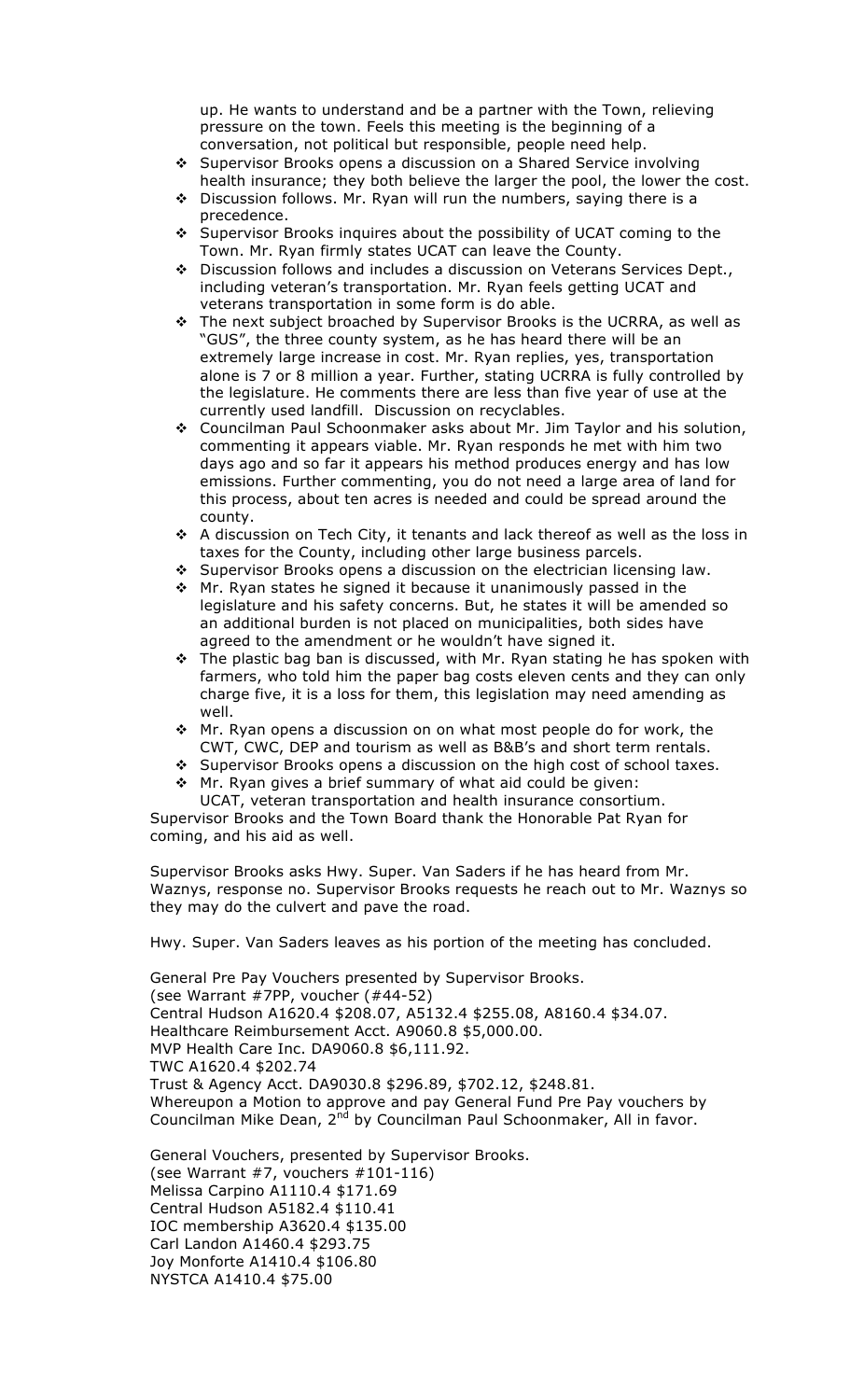up. He wants to understand and be a partner with the Town, relieving pressure on the town. Feels this meeting is the beginning of a conversation, not political but responsible, people need help.

- " Supervisor Brooks opens a discussion on a Shared Service involving health insurance; they both believe the larger the pool, the lower the cost.
- \* Discussion follows. Mr. Ryan will run the numbers, saying there is a precedence.
- " Supervisor Brooks inquires about the possibility of UCAT coming to the Town. Mr. Ryan firmly states UCAT can leave the County.
- \* Discussion follows and includes a discussion on Veterans Services Dept., including veteran's transportation. Mr. Ryan feels getting UCAT and veterans transportation in some form is do able.
- \* The next subject broached by Supervisor Brooks is the UCRRA, as well as "GUS", the three county system, as he has heard there will be an extremely large increase in cost. Mr. Ryan replies, yes, transportation alone is 7 or 8 million a year. Further, stating UCRRA is fully controlled by the legislature. He comments there are less than five year of use at the currently used landfill. Discussion on recyclables.
- \* Councilman Paul Schoonmaker asks about Mr. Jim Taylor and his solution, commenting it appears viable. Mr. Ryan responds he met with him two days ago and so far it appears his method produces energy and has low emissions. Further commenting, you do not need a large area of land for this process, about ten acres is needed and could be spread around the county.
- \* A discussion on Tech City, it tenants and lack thereof as well as the loss in taxes for the County, including other large business parcels.
- \* Supervisor Brooks opens a discussion on the electrician licensing law.
- \* Mr. Ryan states he signed it because it unanimously passed in the legislature and his safety concerns. But, he states it will be amended so an additional burden is not placed on municipalities, both sides have agreed to the amendment or he wouldn't have signed it.
- $\cdot$  The plastic bag ban is discussed, with Mr. Ryan stating he has spoken with farmers, who told him the paper bag costs eleven cents and they can only charge five, it is a loss for them, this legislation may need amending as well.
- \* Mr. Ryan opens a discussion on on what most people do for work, the CWT, CWC, DEP and tourism as well as B&B's and short term rentals.
- " Supervisor Brooks opens a discussion on the high cost of school taxes.
- \* Mr. Ryan gives a brief summary of what aid could be given:

UCAT, veteran transportation and health insurance consortium. Supervisor Brooks and the Town Board thank the Honorable Pat Ryan for coming, and his aid as well.

Supervisor Brooks asks Hwy. Super. Van Saders if he has heard from Mr. Waznys, response no. Supervisor Brooks requests he reach out to Mr. Waznys so they may do the culvert and pave the road.

Hwy. Super. Van Saders leaves as his portion of the meeting has concluded.

General Pre Pay Vouchers presented by Supervisor Brooks. (see Warrant #7PP, voucher (#44-52) Central Hudson A1620.4 \$208.07, A5132.4 \$255.08, A8160.4 \$34.07. Healthcare Reimbursement Acct. A9060.8 \$5,000.00. MVP Health Care Inc. DA9060.8 \$6,111.92. TWC A1620.4 \$202.74 Trust & Agency Acct. DA9030.8 \$296.89, \$702.12, \$248.81. Whereupon a Motion to approve and pay General Fund Pre Pay vouchers by Councilman Mike Dean, 2<sup>nd</sup> by Councilman Paul Schoonmaker, All in favor.

General Vouchers, presented by Supervisor Brooks. (see Warrant #7, vouchers #101-116) Melissa Carpino A1110.4 \$171.69 Central Hudson A5182.4 \$110.41 IOC membership A3620.4 \$135.00 Carl Landon A1460.4 \$293.75 Joy Monforte A1410.4 \$106.80 NYSTCA A1410.4 \$75.00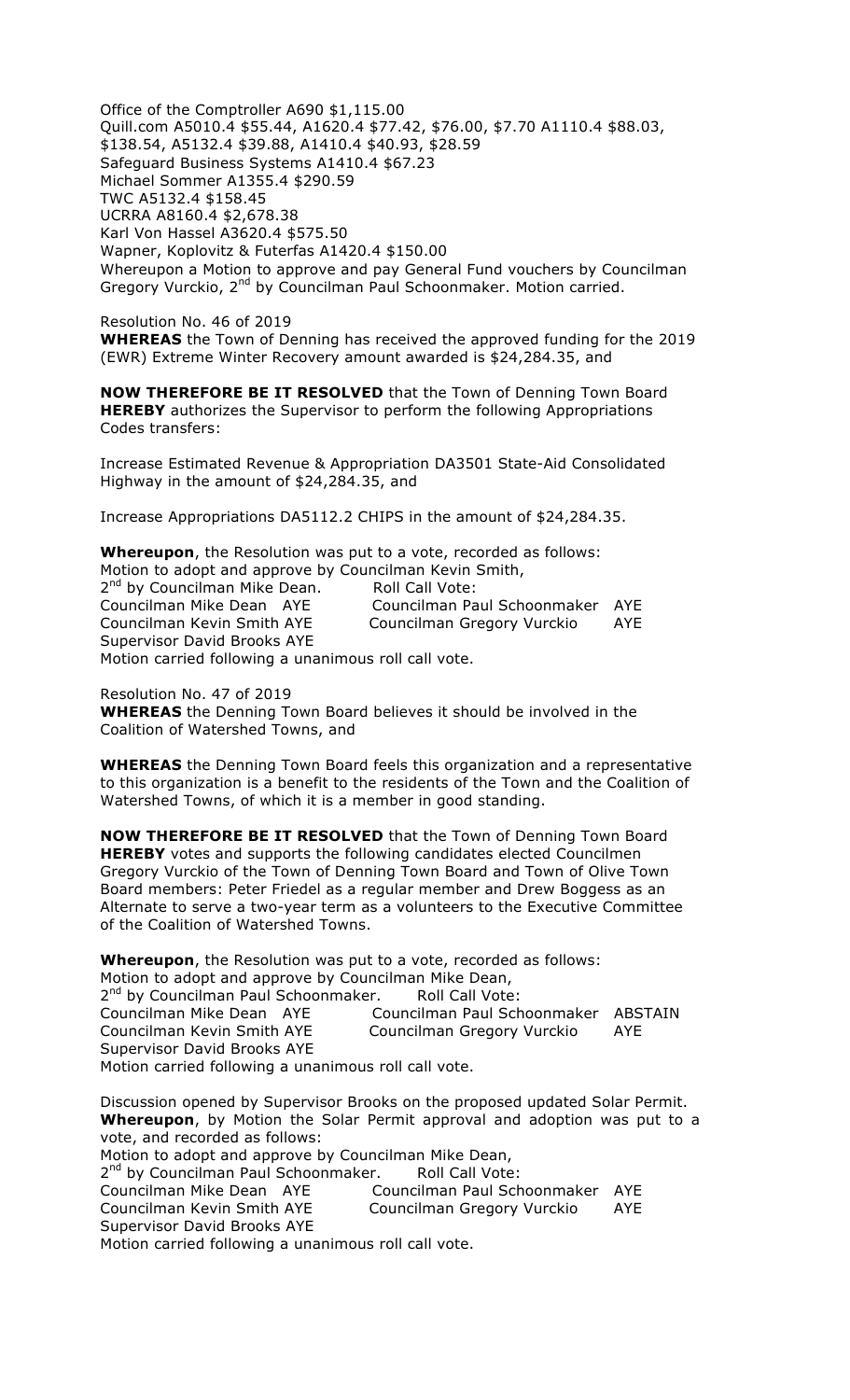Office of the Comptroller A690 \$1,115.00 Quill.com A5010.4 \$55.44, A1620.4 \$77.42, \$76.00, \$7.70 A1110.4 \$88.03, \$138.54, A5132.4 \$39.88, A1410.4 \$40.93, \$28.59 Safeguard Business Systems A1410.4 \$67.23 Michael Sommer A1355.4 \$290.59 TWC A5132.4 \$158.45 UCRRA A8160.4 \$2,678.38 Karl Von Hassel A3620.4 \$575.50 Wapner, Koplovitz & Futerfas A1420.4 \$150.00 Whereupon a Motion to approve and pay General Fund vouchers by Councilman Gregory Vurckio, 2<sup>nd</sup> by Councilman Paul Schoonmaker. Motion carried.

Resolution No. 46 of 2019 **WHEREAS** the Town of Denning has received the approved funding for the 2019 (EWR) Extreme Winter Recovery amount awarded is \$24,284.35, and

**NOW THEREFORE BE IT RESOLVED** that the Town of Denning Town Board **HEREBY** authorizes the Supervisor to perform the following Appropriations Codes transfers:

Increase Estimated Revenue & Appropriation DA3501 State-Aid Consolidated Highway in the amount of \$24,284.35, and

Increase Appropriations DA5112.2 CHIPS in the amount of \$24,284.35.

**Whereupon**, the Resolution was put to a vote, recorded as follows: Motion to adopt and approve by Councilman Kevin Smith, 2<sup>nd</sup> by Councilman Mike Dean. Roll Call Vote:

Councilman Mike Dean AYE Councilman Paul Schoonmaker AYE Councilman Kevin Smith AYE Councilman Gregory Vurckio AYE Supervisor David Brooks AYE Motion carried following a unanimous roll call vote.

Resolution No. 47 of 2019 **WHEREAS** the Denning Town Board believes it should be involved in the Coalition of Watershed Towns, and

**WHEREAS** the Denning Town Board feels this organization and a representative to this organization is a benefit to the residents of the Town and the Coalition of Watershed Towns, of which it is a member in good standing.

**NOW THEREFORE BE IT RESOLVED** that the Town of Denning Town Board **HEREBY** votes and supports the following candidates elected Councilmen Gregory Vurckio of the Town of Denning Town Board and Town of Olive Town Board members: Peter Friedel as a regular member and Drew Boggess as an Alternate to serve a two-year term as a volunteers to the Executive Committee of the Coalition of Watershed Towns.

**Whereupon**, the Resolution was put to a vote, recorded as follows: Motion to adopt and approve by Councilman Mike Dean, 2<sup>nd</sup> by Councilman Paul Schoonmaker. Roll Call Vote: Councilman Mike Dean AYE Councilman Paul Schoonmaker ABSTAIN Councilman Kevin Smith AYE Councilman Gregory Vurckio AYE Supervisor David Brooks AYE Motion carried following a unanimous roll call vote.

Discussion opened by Supervisor Brooks on the proposed updated Solar Permit. **Whereupon**, by Motion the Solar Permit approval and adoption was put to a vote, and recorded as follows: Motion to adopt and approve by Councilman Mike Dean, 2<sup>nd</sup> by Councilman Paul Schoonmaker. Roll Call Vote: Councilman Mike Dean AYE Councilman Paul Schoonmaker AYE Councilman Kevin Smith AYE Councilman Gregory Vurckio AYE Supervisor David Brooks AYE Motion carried following a unanimous roll call vote.